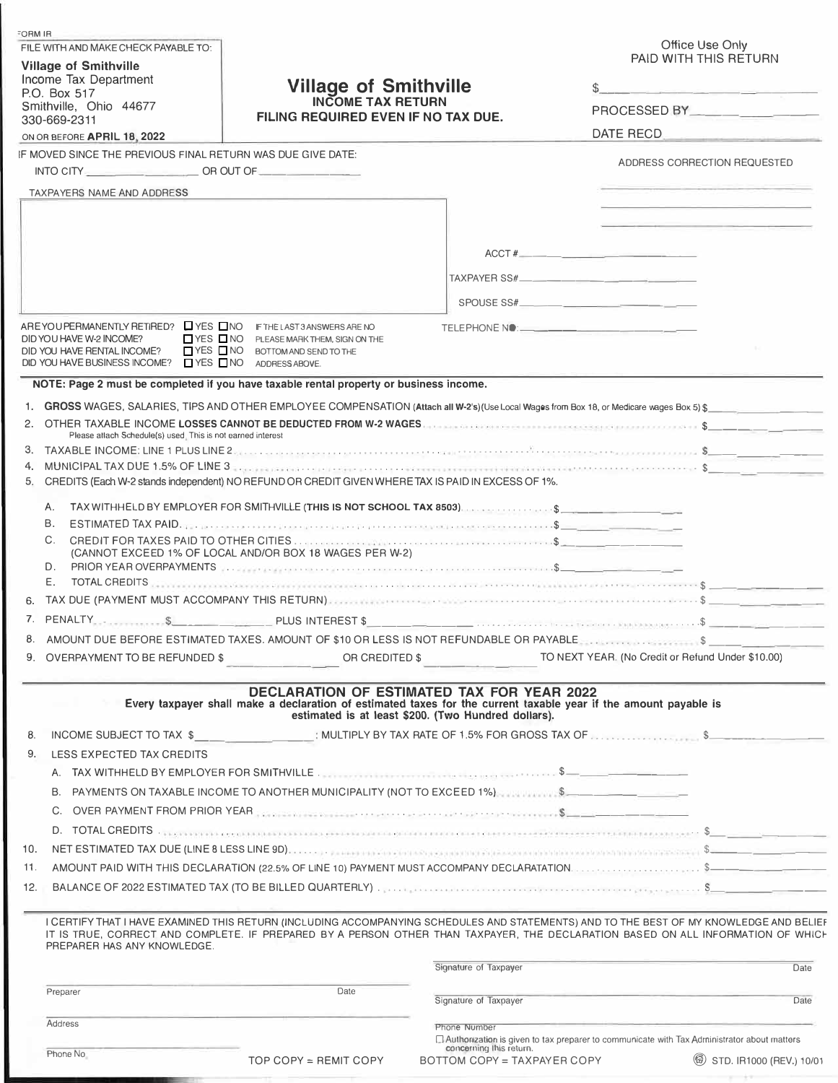| FORM IR                                                                                                                    |                                                                                                                                                                                                                                |                             |                                                                                                                                                                                                                                                                             |  |
|----------------------------------------------------------------------------------------------------------------------------|--------------------------------------------------------------------------------------------------------------------------------------------------------------------------------------------------------------------------------|-----------------------------|-----------------------------------------------------------------------------------------------------------------------------------------------------------------------------------------------------------------------------------------------------------------------------|--|
| FILE WITH AND MAKE CHECK PAYABLE TO:                                                                                       |                                                                                                                                                                                                                                |                             | Office Use Only<br>PAID WITH THIS RETURN                                                                                                                                                                                                                                    |  |
| <b>Village of Smithville</b><br>Income Tax Department                                                                      |                                                                                                                                                                                                                                |                             |                                                                                                                                                                                                                                                                             |  |
| P.O. Box 517                                                                                                               | <b>Village of Smithville</b>                                                                                                                                                                                                   |                             |                                                                                                                                                                                                                                                                             |  |
| <b>INCOME TAX RETURN</b><br>Smithville, Ohio 44677<br>FILING REQUIRED EVEN IF NO TAX DUE.<br>330-669-2311                  |                                                                                                                                                                                                                                |                             |                                                                                                                                                                                                                                                                             |  |
| ON OR BEFORE APRIL 18, 2022                                                                                                |                                                                                                                                                                                                                                |                             | <b>DATE RECD</b>                                                                                                                                                                                                                                                            |  |
| IF MOVED SINCE THE PREVIOUS FINAL RETURN WAS DUE GIVE DATE:                                                                |                                                                                                                                                                                                                                |                             |                                                                                                                                                                                                                                                                             |  |
| INTO CITY $\qquad \qquad \qquad \qquad \qquad \text{OR OUT OF} \qquad \qquad \qquad \qquad \qquad \qquad \text{OR OUT OF}$ |                                                                                                                                                                                                                                |                             | ADDRESS CORRECTION REQUESTED                                                                                                                                                                                                                                                |  |
| <b>TAXPAYERS NAME AND ADDRESS</b>                                                                                          |                                                                                                                                                                                                                                |                             | and the state of the state in the state of                                                                                                                                                                                                                                  |  |
|                                                                                                                            |                                                                                                                                                                                                                                |                             |                                                                                                                                                                                                                                                                             |  |
|                                                                                                                            |                                                                                                                                                                                                                                |                             | and the property of the company of the property of the company                                                                                                                                                                                                              |  |
|                                                                                                                            |                                                                                                                                                                                                                                |                             | ACCT #                                                                                                                                                                                                                                                                      |  |
|                                                                                                                            |                                                                                                                                                                                                                                |                             |                                                                                                                                                                                                                                                                             |  |
|                                                                                                                            |                                                                                                                                                                                                                                |                             |                                                                                                                                                                                                                                                                             |  |
|                                                                                                                            |                                                                                                                                                                                                                                |                             | SPOUSE SS#                                                                                                                                                                                                                                                                  |  |
| AREYOUPERMANENTLY RETIRED? ■ YES ■ NO                                                                                      | IF THE LAST 3 ANSWERS ARE NO                                                                                                                                                                                                   |                             | TELEPHONE NO: <b>Andrew Contract Contract Contract Contract Contract Contract Contract Contract Contract Contract Contract Contract Contract Contract Contract Contract Contract Contract Contract Contract Contract Contract Co</b>                                        |  |
| $\Box$ YES $\Box$ NO<br>DID YOU HAVE W-2 INCOME?<br>$\Box$ YES $\Box$ NO<br>DID YOU HAVE RENTAL INCOME?                    | PLEASE MARK THEM, SIGN ON THE                                                                                                                                                                                                  |                             |                                                                                                                                                                                                                                                                             |  |
| DID YOU HAVE BUSINESS INCOME? □ YES □ NO                                                                                   | BOTTOM AND SEND TO THE<br>ADDRESS ABOVE.                                                                                                                                                                                       |                             |                                                                                                                                                                                                                                                                             |  |
|                                                                                                                            | NOTE: Page 2 must be completed if you have taxable rental property or business income.                                                                                                                                         |                             |                                                                                                                                                                                                                                                                             |  |
|                                                                                                                            |                                                                                                                                                                                                                                |                             | 1. GROSS WAGES, SALARIES, TIPS AND OTHER EMPLOYEE COMPENSATION (Attach all W-2's)(Use Local Wages from Box 18, or Medicare wages Box 5) \$                                                                                                                                  |  |
|                                                                                                                            |                                                                                                                                                                                                                                |                             | OTHER TAXABLE INCOME LOSSES CANNOT BE DEDUCTED FROM W-2 WAGES.                                                                                                                                                                                                              |  |
| Please atlach Schedule(s) used. This is not earned interest                                                                |                                                                                                                                                                                                                                |                             |                                                                                                                                                                                                                                                                             |  |
|                                                                                                                            |                                                                                                                                                                                                                                |                             |                                                                                                                                                                                                                                                                             |  |
| 4.<br>5.                                                                                                                   | CREDITS (Each W-2 stands independent) NO REFUND OR CREDIT GIVEN WHERE TAX IS PAID IN EXCESS OF 1%.                                                                                                                             |                             | MUNICIPAL TAX DUE 1.5% OF LINE 3                                                                                                                                                                                                                                            |  |
|                                                                                                                            |                                                                                                                                                                                                                                |                             |                                                                                                                                                                                                                                                                             |  |
| А.                                                                                                                         | TAX WITHHELD BY EMPLOYER FOR SMITHVILLE (THIS IS NOT SCHOOL TAX 8503). And the state of the state of the state of the state of the state of the state of the state of the state of the state of the state of the state of the  |                             |                                                                                                                                                                                                                                                                             |  |
| В.                                                                                                                         | ESTIMATED TAX PAID.                                                                                                                                                                                                            |                             |                                                                                                                                                                                                                                                                             |  |
| C.                                                                                                                         | (CANNOT EXCEED 1% OF LOCAL AND/OR BOX 18 WAGES PER W-2)                                                                                                                                                                        |                             |                                                                                                                                                                                                                                                                             |  |
| D.                                                                                                                         | PRIOR YEAR OVERPAYMENTS A CONSERVERT CONTROL CONTROL CONTROL CONTROL CONTROL CONTROL CONTROL CONTROL CONTROL CONTROL CONTROL CONTROL CONTROL CONTROL CONTROL CONTROL CONTROL CONTROL CONTROL CONTROL CONTROL CONTROL CONTROL C |                             |                                                                                                                                                                                                                                                                             |  |
| Е.                                                                                                                         |                                                                                                                                                                                                                                |                             | TOTAL CREDITS                                                                                                                                                                                                                                                               |  |
| 6.                                                                                                                         |                                                                                                                                                                                                                                |                             |                                                                                                                                                                                                                                                                             |  |
|                                                                                                                            |                                                                                                                                                                                                                                |                             |                                                                                                                                                                                                                                                                             |  |
|                                                                                                                            |                                                                                                                                                                                                                                |                             | AMOUNT DUE BEFORE ESTIMATED TAXES. AMOUNT OF \$10 OR LESS IS NOT REFUNDABLE OR PAYABLE                                                                                                                                                                                      |  |
| 9. OVERPAYMENT TO BE REFUNDED \$                                                                                           | OR CREDITED \$                                                                                                                                                                                                                 |                             | TO NEXT YEAR. (No Credit or Refund Under \$10.00)                                                                                                                                                                                                                           |  |
|                                                                                                                            | DECLARATION OF ESTIMATED TAX FOR YEAR 2022                                                                                                                                                                                     |                             |                                                                                                                                                                                                                                                                             |  |
|                                                                                                                            | Every taxpayer shall make a declaration of estimated taxes for the current taxable year if the amount payable is                                                                                                               |                             |                                                                                                                                                                                                                                                                             |  |
|                                                                                                                            | estimated is at least \$200. (Two Hundred dollars).                                                                                                                                                                            |                             |                                                                                                                                                                                                                                                                             |  |
| 8.                                                                                                                         |                                                                                                                                                                                                                                |                             | INCOME SUBJECT TO TAX \$ : MULTIPLY BY TAX RATE OF 1.5% FOR GROSS TAX OF NULLLARE \$                                                                                                                                                                                        |  |
| LESS EXPECTED TAX CREDITS<br>9.                                                                                            |                                                                                                                                                                                                                                |                             |                                                                                                                                                                                                                                                                             |  |
|                                                                                                                            | A. TAX WITHHELD BY EMPLOYER FOR SMITHVILLE.                                                                                                                                                                                    |                             |                                                                                                                                                                                                                                                                             |  |
|                                                                                                                            | B. PAYMENTS ON TAXABLE INCOME TO ANOTHER MUNICIPALITY (NOT TO EXCEED 1%).  \$                                                                                                                                                  |                             |                                                                                                                                                                                                                                                                             |  |
| C.                                                                                                                         |                                                                                                                                                                                                                                |                             |                                                                                                                                                                                                                                                                             |  |
|                                                                                                                            |                                                                                                                                                                                                                                |                             | D. TOTAL CREDITS And the contract of the contract of the contract of the contract of the contract of the contract of the contract of the contract of the contract of the contract of the contract of the contract of the contr                                              |  |
| 10.                                                                                                                        |                                                                                                                                                                                                                                |                             |                                                                                                                                                                                                                                                                             |  |
| 11.                                                                                                                        |                                                                                                                                                                                                                                |                             |                                                                                                                                                                                                                                                                             |  |
| 12.                                                                                                                        |                                                                                                                                                                                                                                |                             |                                                                                                                                                                                                                                                                             |  |
|                                                                                                                            |                                                                                                                                                                                                                                |                             |                                                                                                                                                                                                                                                                             |  |
| PREPARER HAS ANY KNOWLEDGE.                                                                                                |                                                                                                                                                                                                                                |                             | I CERTIFY THAT I HAVE EXAMINED THIS RETURN (INCLUDING ACCOMPANYING SCHEDULES AND STATEMENTS) AND TO THE BEST OF MY KNOWLEDGE AND BELIEF<br>IT IS TRUE, CORRECT AND COMPLETE. IF PREPARED BY A PERSON OTHER THAN TAXPAYER, THE DECLARATION BASED ON ALL INFORMATION OF WHICH |  |
|                                                                                                                            |                                                                                                                                                                                                                                | Signature of Taxpayer       | Date                                                                                                                                                                                                                                                                        |  |
| Preparer                                                                                                                   | Date                                                                                                                                                                                                                           | Signature of Taxpayer       | Date                                                                                                                                                                                                                                                                        |  |
| Address                                                                                                                    |                                                                                                                                                                                                                                | Phone Number                |                                                                                                                                                                                                                                                                             |  |
|                                                                                                                            |                                                                                                                                                                                                                                | concerning this return.     | Authorization is given to tax preparer to communicate with Tax Administrator about matters                                                                                                                                                                                  |  |
| Phone No                                                                                                                   | TOP COPY = REMIT COPY                                                                                                                                                                                                          | BOTTOM COPY = TAXPAYER COPY | (6) STD. IR1000 (REV.) 10/01                                                                                                                                                                                                                                                |  |
|                                                                                                                            |                                                                                                                                                                                                                                |                             |                                                                                                                                                                                                                                                                             |  |